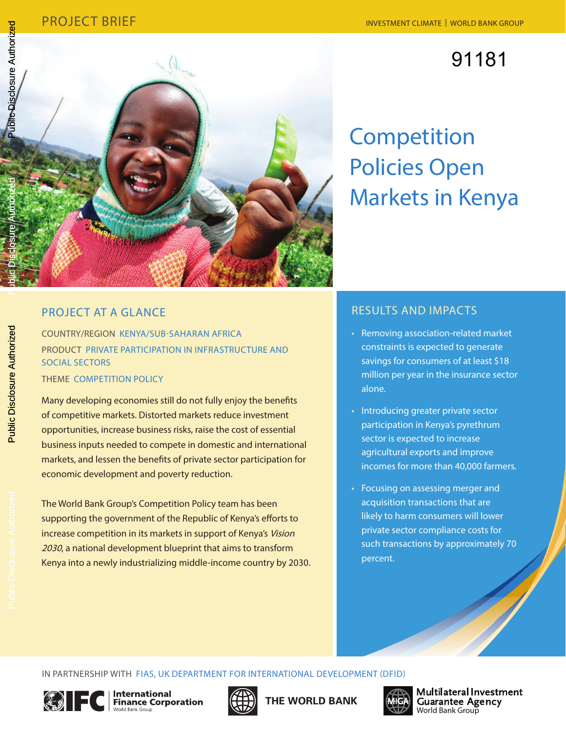# 91181



# **Competition** Policies Open Markets in Kenya

# Project At A Glance

Country/Region Kenya/Sub-Saharan Africa PRODUCT Private Participation in Infrastructure and Social Sectors THEME COMPETITION POLICY

Many developing economies still do not fully enjoy the benefits of competitive markets. Distorted markets reduce investment opportunities, increase business risks, raise the cost of essential

business inputs needed to compete in domestic and international markets, and lessen the benefits of private sector participation for economic development and poverty reduction.

The World Bank Group's Competition Policy team has been supporting the government of the Republic of Kenya's efforts to increase competition in its markets in support of Kenya's Vision 2030, a national development blueprint that aims to transform Kenya into a newly industrializing middle-income country by 2030.

# Results and Impacts

- • Removing association-related market constraints is expected to generate savings for consumers of at least \$18 million per year in the insurance sector alone.
- Introducing greater private sector participation in Kenya's pyrethrum sector is expected to increase agricultural exports and improve incomes for more than 40,000 farmers.
- Focusing on assessing merger and acquisition transactions that are likely to harm consumers will lower private sector compliance costs for such transactions by approximately 70 percent.

**Public Disclosure Authorized** Public Disclosure Authorized

In Partnership with FIAS, UK Department for International Development (DFID)





THE WORLD BANK



Multilateral Investment **Guarantee Agency** World Bank Group